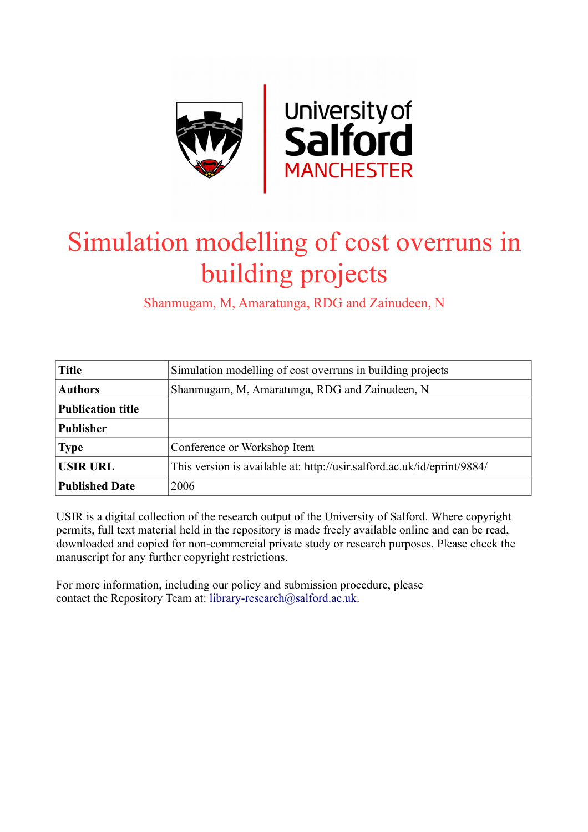

# Simulation modelling of cost overruns in building projects

Shanmugam, M, Amaratunga, RDG and Zainudeen, N

| <b>Title</b>             | Simulation modelling of cost overruns in building projects              |  |  |  |  |  |
|--------------------------|-------------------------------------------------------------------------|--|--|--|--|--|
| <b>Authors</b>           | Shanmugam, M, Amaratunga, RDG and Zainudeen, N                          |  |  |  |  |  |
| <b>Publication title</b> |                                                                         |  |  |  |  |  |
| <b>Publisher</b>         |                                                                         |  |  |  |  |  |
| <b>Type</b>              | Conference or Workshop Item                                             |  |  |  |  |  |
| <b>USIR URL</b>          | This version is available at: http://usir.salford.ac.uk/id/eprint/9884/ |  |  |  |  |  |
| <b>Published Date</b>    | 2006                                                                    |  |  |  |  |  |

USIR is a digital collection of the research output of the University of Salford. Where copyright permits, full text material held in the repository is made freely available online and can be read, downloaded and copied for non-commercial private study or research purposes. Please check the manuscript for any further copyright restrictions.

For more information, including our policy and submission procedure, please contact the Repository Team at: [library-research@salford.ac.uk.](mailto:library-research@salford.ac.uk)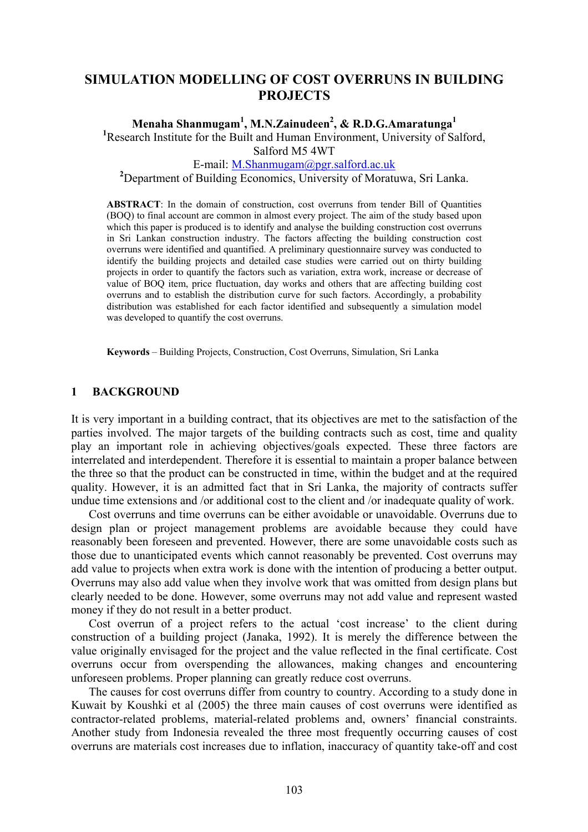# **SIMULATION MODELLING OF COST OVERRUNS IN BUILDING PROJECTS**

# **Menaha Shanmugam<sup>1</sup>, M.N.Zainudeen<sup>2</sup>, & R.D.G.Amaratunga<sup>1</sup>**<br><sup>1</sup> Research Institute for the Built and Human Environment University of Se

<sup>1</sup>Research Institute for the Built and Human Environment, University of Salford, Salford M5 4WT

E-mail: M.Shanmugam@pgr.salford.ac.uk **<sup>2</sup>**

<sup>2</sup>Department of Building Economics, University of Moratuwa, Sri Lanka.

**ABSTRACT**: In the domain of construction, cost overruns from tender Bill of Quantities (BOQ) to final account are common in almost every project. The aim of the study based upon which this paper is produced is to identify and analyse the building construction cost overruns in Sri Lankan construction industry. The factors affecting the building construction cost overruns were identified and quantified. A preliminary questionnaire survey was conducted to identify the building projects and detailed case studies were carried out on thirty building projects in order to quantify the factors such as variation, extra work, increase or decrease of value of BOQ item, price fluctuation, day works and others that are affecting building cost overruns and to establish the distribution curve for such factors. Accordingly, a probability distribution was established for each factor identified and subsequently a simulation model was developed to quantify the cost overruns.

**Keywords** – Building Projects, Construction, Cost Overruns, Simulation, Sri Lanka

#### **1 BACKGROUND**

It is very important in a building contract, that its objectives are met to the satisfaction of the parties involved. The major targets of the building contracts such as cost, time and quality play an important role in achieving objectives/goals expected. These three factors are interrelated and interdependent. Therefore it is essential to maintain a proper balance between the three so that the product can be constructed in time, within the budget and at the required quality. However, it is an admitted fact that in Sri Lanka, the majority of contracts suffer undue time extensions and /or additional cost to the client and /or inadequate quality of work.

Cost overruns and time overruns can be either avoidable or unavoidable. Overruns due to design plan or project management problems are avoidable because they could have reasonably been foreseen and prevented. However, there are some unavoidable costs such as those due to unanticipated events which cannot reasonably be prevented. Cost overruns may add value to projects when extra work is done with the intention of producing a better output. Overruns may also add value when they involve work that was omitted from design plans but clearly needed to be done. However, some overruns may not add value and represent wasted money if they do not result in a better product.

Cost overrun of a project refers to the actual 'cost increase' to the client during construction of a building project (Janaka, 1992). It is merely the difference between the value originally envisaged for the project and the value reflected in the final certificate. Cost overruns occur from overspending the allowances, making changes and encountering unforeseen problems. Proper planning can greatly reduce cost overruns.

The causes for cost overruns differ from country to country. According to a study done in Kuwait by Koushki et al (2005) the three main causes of cost overruns were identified as contractor-related problems, material-related problems and, owners' financial constraints. Another study from Indonesia revealed the three most frequently occurring causes of cost overruns are materials cost increases due to inflation, inaccuracy of quantity take-off and cost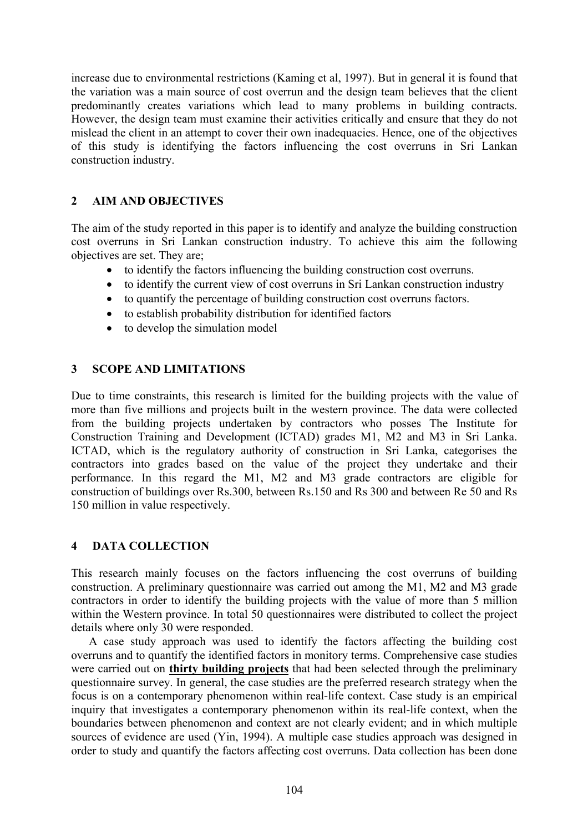increase due to environmental restrictions (Kaming et al, 1997). But in general it is found that the variation was a main source of cost overrun and the design team believes that the client predominantly creates variations which lead to many problems in building contracts. However, the design team must examine their activities critically and ensure that they do not mislead the client in an attempt to cover their own inadequacies. Hence, one of the objectives of this study is identifying the factors influencing the cost overruns in Sri Lankan construction industry.

# **2 AIM AND OBJECTIVES**

The aim of the study reported in this paper is to identify and analyze the building construction cost overruns in Sri Lankan construction industry. To achieve this aim the following objectives are set. They are;

- to identify the factors influencing the building construction cost overruns.
- to identify the current view of cost overruns in Sri Lankan construction industry
- to quantify the percentage of building construction cost overruns factors.
- to establish probability distribution for identified factors
- to develop the simulation model

# **3 SCOPE AND LIMITATIONS**

Due to time constraints, this research is limited for the building projects with the value of more than five millions and projects built in the western province. The data were collected from the building projects undertaken by contractors who posses The Institute for Construction Training and Development (ICTAD) grades M1, M2 and M3 in Sri Lanka. ICTAD, which is the regulatory authority of construction in Sri Lanka, categorises the contractors into grades based on the value of the project they undertake and their performance. In this regard the M1, M2 and M3 grade contractors are eligible for construction of buildings over Rs.300, between Rs.150 and Rs 300 and between Re 50 and Rs 150 million in value respectively.

## **4 DATA COLLECTION**

This research mainly focuses on the factors influencing the cost overruns of building construction. A preliminary questionnaire was carried out among the M1, M2 and M3 grade contractors in order to identify the building projects with the value of more than 5 million within the Western province. In total 50 questionnaires were distributed to collect the project details where only 30 were responded.

A case study approach was used to identify the factors affecting the building cost overruns and to quantify the identified factors in monitory terms. Comprehensive case studies were carried out on **thirty building projects** that had been selected through the preliminary questionnaire survey. In general, the case studies are the preferred research strategy when the focus is on a contemporary phenomenon within real-life context. Case study is an empirical inquiry that investigates a contemporary phenomenon within its real-life context, when the boundaries between phenomenon and context are not clearly evident; and in which multiple sources of evidence are used (Yin, 1994). A multiple case studies approach was designed in order to study and quantify the factors affecting cost overruns. Data collection has been done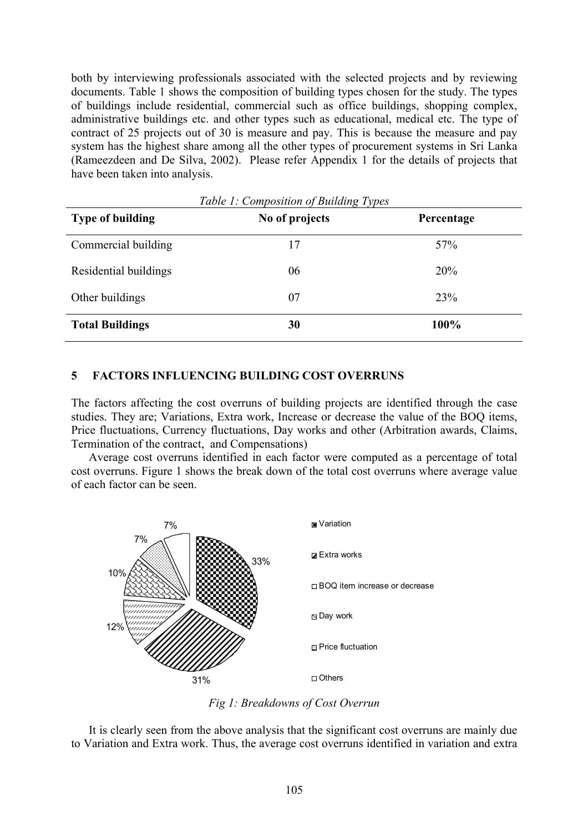both by interviewing professionals associated with the selected projects and by reviewing documents. Table 1 shows the composition of building types chosen for the study. The types of buildings include residential, commercial such as office buildings, shopping complex, administrative buildings etc. and other types such as educational, medical etc. The type of contract of 25 projects out of 30 is measure and pay. This is because the measure and pay system has the highest share among all the other types of procurement systems in Sri Lanka (Rameezdeen and De Silva, 2002). Please refer Appendix 1 for the details of projects that have been taken into analysis.

| <b>Type of building</b> | No of projects | Percentage |  |
|-------------------------|----------------|------------|--|
| Commercial building     | 17             | 57%        |  |
| Residential buildings   | 06             | 20%        |  |
| Other buildings         | 07             | 23%        |  |
| <b>Total Buildings</b>  | 30             | 100%       |  |

*Table 1: Composition of Building Types* 

## **5 FACTORS INFLUENCING BUILDING COST OVERRUNS**

The factors affecting the cost overruns of building projects are identified through the case studies. They are; Variations, Extra work, Increase or decrease the value of the BOQ items, Price fluctuations, Currency fluctuations, Day works and other (Arbitration awards, Claims, Termination of the contract, and Compensations)

Average cost overruns identified in each factor were computed as a percentage of total cost overruns. Figure 1 shows the break down of the total cost overruns where average value of each factor can be seen.



*Fig 1: Breakdowns of Cost Overrun* 

It is clearly seen from the above analysis that the significant cost overruns are mainly due to Variation and Extra work. Thus, the average cost overruns identified in variation and extra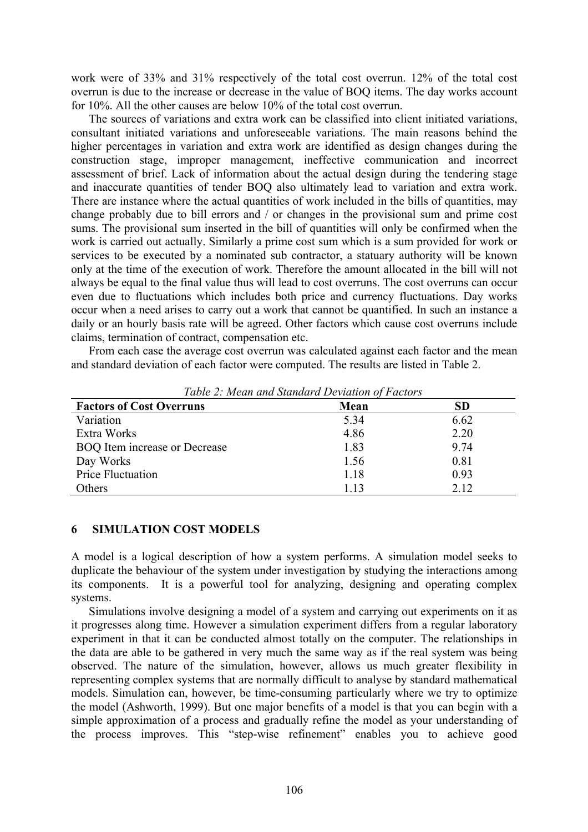work were of 33% and 31% respectively of the total cost overrun. 12% of the total cost overrun is due to the increase or decrease in the value of BOQ items. The day works account for 10%. All the other causes are below 10% of the total cost overrun.

The sources of variations and extra work can be classified into client initiated variations, consultant initiated variations and unforeseeable variations. The main reasons behind the higher percentages in variation and extra work are identified as design changes during the construction stage, improper management, ineffective communication and incorrect assessment of brief. Lack of information about the actual design during the tendering stage and inaccurate quantities of tender BOQ also ultimately lead to variation and extra work. There are instance where the actual quantities of work included in the bills of quantities, may change probably due to bill errors and / or changes in the provisional sum and prime cost sums. The provisional sum inserted in the bill of quantities will only be confirmed when the work is carried out actually. Similarly a prime cost sum which is a sum provided for work or services to be executed by a nominated sub contractor, a statuary authority will be known only at the time of the execution of work. Therefore the amount allocated in the bill will not always be equal to the final value thus will lead to cost overruns. The cost overruns can occur even due to fluctuations which includes both price and currency fluctuations. Day works occur when a need arises to carry out a work that cannot be quantified. In such an instance a daily or an hourly basis rate will be agreed. Other factors which cause cost overruns include claims, termination of contract, compensation etc.

From each case the average cost overrun was calculated against each factor and the mean and standard deviation of each factor were computed. The results are listed in Table 2.

| <b>Factors of Cost Overruns</b>      | Mean | <b>SD</b> |
|--------------------------------------|------|-----------|
| Variation                            | 5.34 | 6.62      |
| Extra Works                          | 4.86 | 2.20      |
| <b>BOQ</b> Item increase or Decrease | 1.83 | 9.74      |
| Day Works                            | 1.56 | 0.81      |
| Price Fluctuation                    | 1.18 | 0.93      |
| Others                               | 1.13 | 2.12      |

*Table 2: Mean and Standard Deviation of Factors* 

#### **6 SIMULATION COST MODELS**

A model is a logical description of how a system performs. A simulation model seeks to duplicate the behaviour of the system under investigation by studying the interactions among its components. It is a powerful tool for analyzing, designing and operating complex systems.

Simulations involve designing a model of a system and carrying out experiments on it as it progresses along time. However a simulation experiment differs from a regular laboratory experiment in that it can be conducted almost totally on the computer. The relationships in the data are able to be gathered in very much the same way as if the real system was being observed. The nature of the simulation, however, allows us much greater flexibility in representing complex systems that are normally difficult to analyse by standard mathematical models. Simulation can, however, be time-consuming particularly where we try to optimize the model (Ashworth, 1999). But one major benefits of a model is that you can begin with a simple approximation of a process and gradually refine the model as your understanding of the process improves. This "step-wise refinement" enables you to achieve good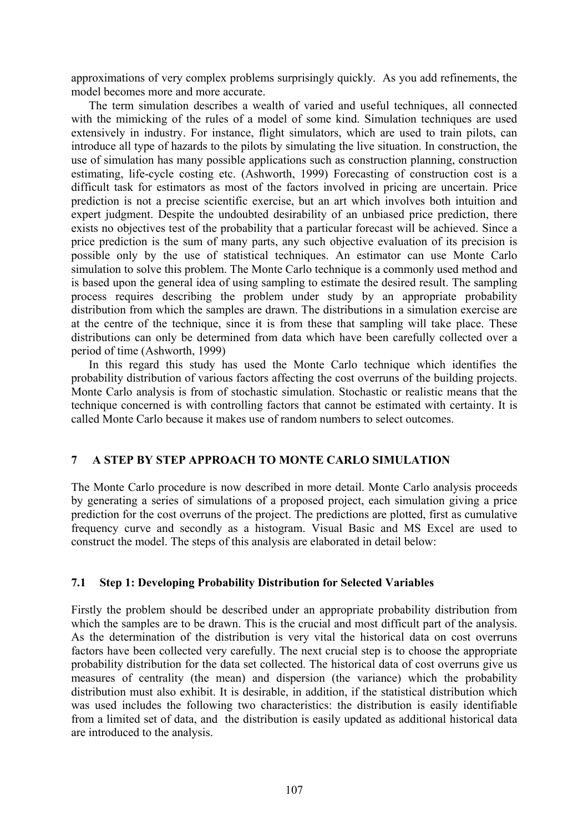approximations of very complex problems surprisingly quickly. As you add refinements, the model becomes more and more accurate.

The term simulation describes a wealth of varied and useful techniques, all connected with the mimicking of the rules of a model of some kind. Simulation techniques are used extensively in industry. For instance, flight simulators, which are used to train pilots, can introduce all type of hazards to the pilots by simulating the live situation. In construction, the use of simulation has many possible applications such as construction planning, construction estimating, life-cycle costing etc. (Ashworth, 1999) Forecasting of construction cost is a difficult task for estimators as most of the factors involved in pricing are uncertain. Price prediction is not a precise scientific exercise, but an art which involves both intuition and expert judgment. Despite the undoubted desirability of an unbiased price prediction, there exists no objectives test of the probability that a particular forecast will be achieved. Since a price prediction is the sum of many parts, any such objective evaluation of its precision is possible only by the use of statistical techniques. An estimator can use Monte Carlo simulation to solve this problem. The Monte Carlo technique is a commonly used method and is based upon the general idea of using sampling to estimate the desired result. The sampling process requires describing the problem under study by an appropriate probability distribution from which the samples are drawn. The distributions in a simulation exercise are at the centre of the technique, since it is from these that sampling will take place. These distributions can only be determined from data which have been carefully collected over a period of time (Ashworth, 1999)

In this regard this study has used the Monte Carlo technique which identifies the probability distribution of various factors affecting the cost overruns of the building projects. Monte Carlo analysis is from of stochastic simulation. Stochastic or realistic means that the technique concerned is with controlling factors that cannot be estimated with certainty. It is called Monte Carlo because it makes use of random numbers to select outcomes.

#### **7 A STEP BY STEP APPROACH TO MONTE CARLO SIMULATION**

The Monte Carlo procedure is now described in more detail. Monte Carlo analysis proceeds by generating a series of simulations of a proposed project, each simulation giving a price prediction for the cost overruns of the project. The predictions are plotted, first as cumulative frequency curve and secondly as a histogram. Visual Basic and MS Excel are used to construct the model. The steps of this analysis are elaborated in detail below:

#### **7.1 Step 1: Developing Probability Distribution for Selected Variables**

Firstly the problem should be described under an appropriate probability distribution from which the samples are to be drawn. This is the crucial and most difficult part of the analysis. As the determination of the distribution is very vital the historical data on cost overruns factors have been collected very carefully. The next crucial step is to choose the appropriate probability distribution for the data set collected. The historical data of cost overruns give us measures of centrality (the mean) and dispersion (the variance) which the probability distribution must also exhibit. It is desirable, in addition, if the statistical distribution which was used includes the following two characteristics: the distribution is easily identifiable from a limited set of data, and the distribution is easily updated as additional historical data are introduced to the analysis.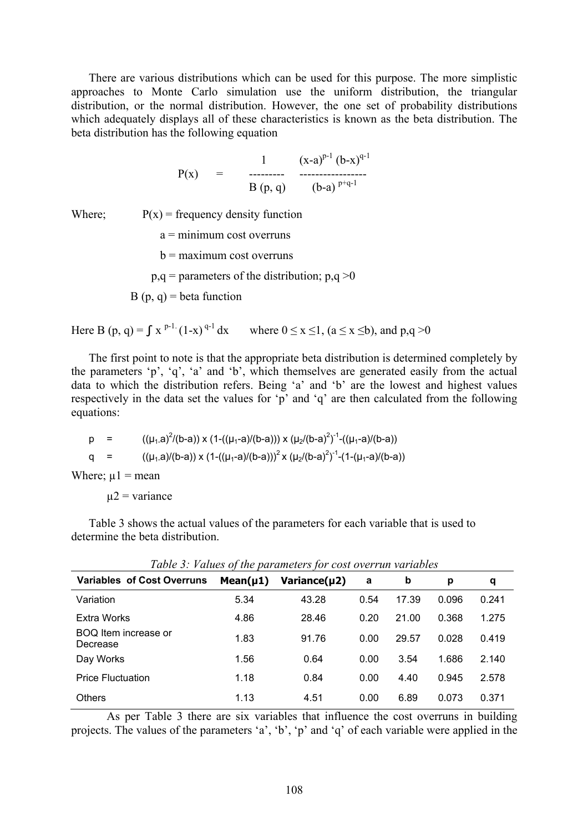There are various distributions which can be used for this purpose. The more simplistic approaches to Monte Carlo simulation use the uniform distribution, the triangular distribution, or the normal distribution. However, the one set of probability distributions which adequately displays all of these characteristics is known as the beta distribution. The beta distribution has the following equation

$$
P(x) = \begin{array}{c} 1 & (x-a)^{p-1} (b-x)^{q-1} \\ \dots & \dots & \dots \\ B(p,q) & (b-a)^{p+q-1} \end{array}
$$

Where;  $P(x) = \text{frequency density function}$ 

 $a =$  minimum cost overruns  $b =$  maximum cost overruns  $p,q =$  parameters of the distribution;  $p,q >0$  $B(p, q) = \text{beta function}$ 

Here B (p, q) =  $\int x^{p-1} (1-x)^{q-1} dx$  where  $0 \le x \le 1$ ,  $(a \le x \le b)$ , and p,q  $\ge 0$ 

The first point to note is that the appropriate beta distribution is determined completely by the parameters 'p', 'q', 'a' and 'b', which themselves are generated easily from the actual data to which the distribution refers. Being 'a' and 'b' are the lowest and highest values respectively in the data set the values for 'p' and 'q' are then calculated from the following equations:

p = 
$$
((\mu_1.a)^2/(b-a)) \times (1-((\mu_1-a)/(b-a))) \times (\mu_2/(b-a)^2)^{-1} - ((\mu_1-a)/(b-a))
$$
  
q =  $((\mu_1.a)/(b-a)) \times (1-((\mu_1-a)/(b-a)))^2 \times (\mu_2/(b-a)^2)^{-1} - (1-(\mu_1-a)/(b-a))$ 

Where;  $\mu$ 1 = mean

 $\mu$ 2 = variance

Table 3 shows the actual values of the parameters for each variable that is used to determine the beta distribution.

| Tuble 5. Pathes by the parameters for cost over fail variables |                |                    |      |       |       |       |  |  |  |
|----------------------------------------------------------------|----------------|--------------------|------|-------|-------|-------|--|--|--|
| <b>Variables of Cost Overruns</b>                              | Mean( $\mu$ 1) | Variance $(\mu 2)$ | а    | b     | р     | q     |  |  |  |
| Variation                                                      | 5.34           | 43.28              | 0.54 | 17.39 | 0.096 | 0.241 |  |  |  |
| Extra Works                                                    | 4.86           | 28.46              | 0.20 | 21.00 | 0.368 | 1.275 |  |  |  |
| BOQ Item increase or<br>Decrease                               | 1.83           | 91.76              | 0.00 | 29.57 | 0.028 | 0.419 |  |  |  |
| Day Works                                                      | 1.56           | 0.64               | 0.00 | 3.54  | 1.686 | 2.140 |  |  |  |
| <b>Price Fluctuation</b>                                       | 1.18           | 0.84               | 0.00 | 4.40  | 0.945 | 2.578 |  |  |  |
| <b>Others</b>                                                  | 1.13           | 4.51               | 0.00 | 6.89  | 0.073 | 0.371 |  |  |  |

*Table 3: Values of the parameters for cost overrun variables* 

 As per Table 3 there are six variables that influence the cost overruns in building projects. The values of the parameters 'a', 'b', 'p' and 'q' of each variable were applied in the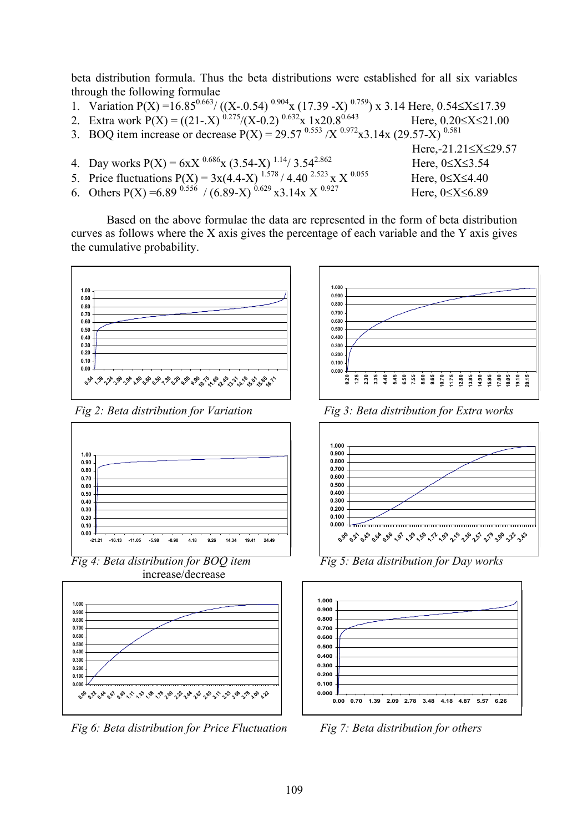beta distribution formula. Thus the beta distributions were established for all six variables through the following formulae

- 1. Variation P(X) =16.85<sup>0.663</sup>/ ((X-.0.54)<sup>0.904</sup>x (17.39 -X)<sup>0.759</sup>) x 3.14 Here, 0.54≤X≤17.39
- 2. Extra work  $P(X) = ((21-X)^{0.275}/(X-0.2)^{0.632}x 1x20.8^{0.643}$  Here,  $0.20 \le X \le 21.00$
- 3. BOQ item increase or decrease  $P(X) = 29.57^{0.553} / X^{0.972} x3.14x (29.57-X)^{0.581}$
- Here,-21.21≤X≤29.57 4. Day works  $P(X) = 6xX^{0.686}x(3.54-X)^{1.14}/3.54^{2.862}$  Here,  $0 \le X \le 3.54$ 5. Price fluctuations  $P(X) = 3x(4.4-X)^{1.578} / 4.40^{2.523} \times X^{0.055}$  Here,  $0 \le X \le 4.40$ 6. Others  $P(X) = 6.89^{0.556} / (6.89-X)^{0.629} x3.14x X^{0.927}$  Here,  $0 \le X \le 6.89$

Based on the above formulae the data are represented in the form of beta distribution curves as follows where the X axis gives the percentage of each variable and the Y axis gives the cumulative probability.





increase/decrease



*Fig 6: Beta distribution for Price Fluctuation* Fig 7: Beta distribution for others



*Fig 2: Beta distribution for Variation Fig 3: Beta distribution for Extra works* 





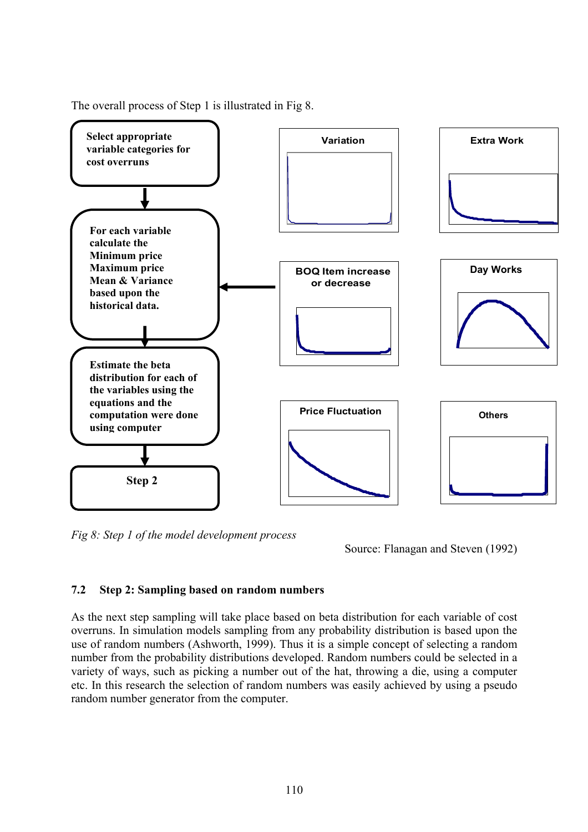

The overall process of Step 1 is illustrated in Fig 8.

*Fig 8: Step 1 of the model development process* 

Source: Flanagan and Steven (1992)

# **7.2 Step 2: Sampling based on random numbers**

As the next step sampling will take place based on beta distribution for each variable of cost overruns. In simulation models sampling from any probability distribution is based upon the use of random numbers (Ashworth, 1999). Thus it is a simple concept of selecting a random number from the probability distributions developed. Random numbers could be selected in a variety of ways, such as picking a number out of the hat, throwing a die, using a computer etc. In this research the selection of random numbers was easily achieved by using a pseudo random number generator from the computer.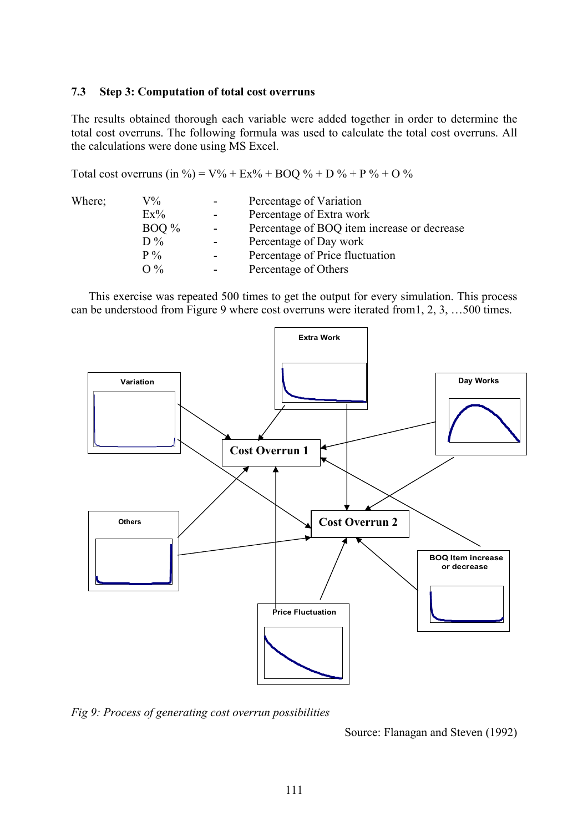#### **7.3 Step 3: Computation of total cost overruns**

The results obtained thorough each variable were added together in order to determine the total cost overruns. The following formula was used to calculate the total cost overruns. All the calculations were done using MS Excel.

Total cost overruns (in %) =  $V\%$  +  $Ex\%$  + BOQ % + D % + P % + O %

| Where; | $\rm V\%$ | Percentage of Variation                     |
|--------|-----------|---------------------------------------------|
|        | $Ex\%$    | Percentage of Extra work                    |
|        | $BOO\%$   | Percentage of BOQ item increase or decrease |
|        | $D\%$     | Percentage of Day work                      |
|        | $P\%$     | Percentage of Price fluctuation             |
|        | O %       | Percentage of Others                        |

This exercise was repeated 500 times to get the output for every simulation. This process can be understood from Figure 9 where cost overruns were iterated from1, 2, 3, …500 times.



*Fig 9: Process of generating cost overrun possibilities* 

Source: Flanagan and Steven (1992)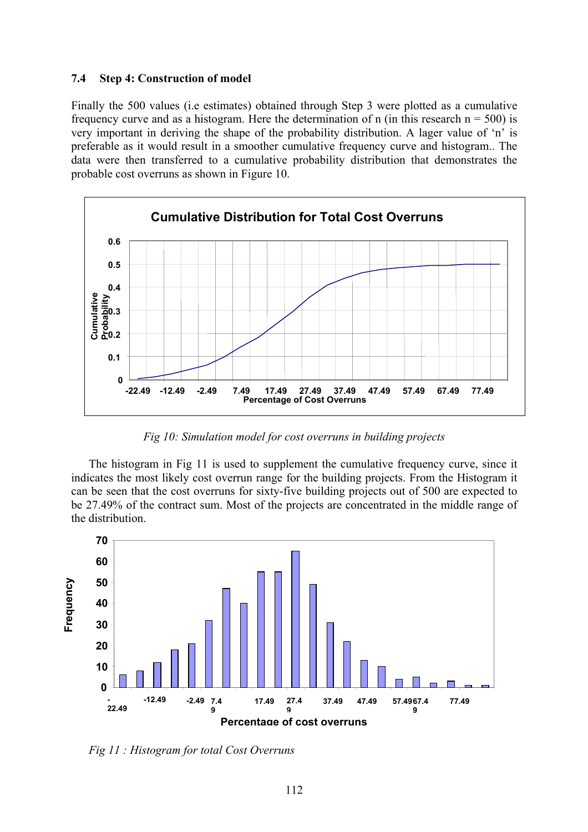#### **7.4 Step 4: Construction of model**

Finally the 500 values (i.e estimates) obtained through Step 3 were plotted as a cumulative frequency curve and as a histogram. Here the determination of n (in this research  $n = 500$ ) is very important in deriving the shape of the probability distribution. A lager value of 'n' is preferable as it would result in a smoother cumulative frequency curve and histogram.. The data were then transferred to a cumulative probability distribution that demonstrates the probable cost overruns as shown in Figure 10.



*Fig 10: Simulation model for cost overruns in building projects* 

The histogram in Fig 11 is used to supplement the cumulative frequency curve, since it indicates the most likely cost overrun range for the building projects. From the Histogram it can be seen that the cost overruns for sixty-five building projects out of 500 are expected to be 27.49% of the contract sum. Most of the projects are concentrated in the middle range of the distribution.



*Fig 11 : Histogram for total Cost Overruns*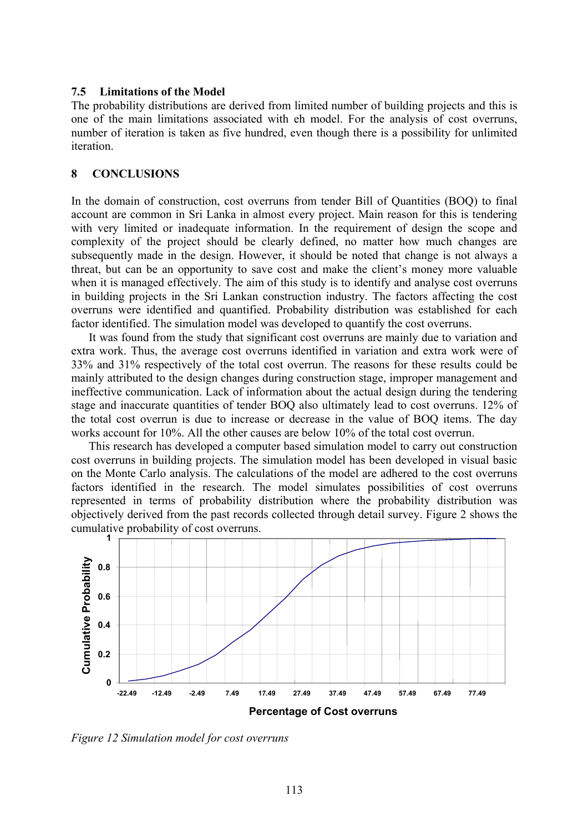#### **7.5 Limitations of the Model**

The probability distributions are derived from limited number of building projects and this is one of the main limitations associated with eh model. For the analysis of cost overruns, number of iteration is taken as five hundred, even though there is a possibility for unlimited iteration.

#### **8 CONCLUSIONS**

In the domain of construction, cost overruns from tender Bill of Quantities (BOQ) to final account are common in Sri Lanka in almost every project. Main reason for this is tendering with very limited or inadequate information. In the requirement of design the scope and complexity of the project should be clearly defined, no matter how much changes are subsequently made in the design. However, it should be noted that change is not always a threat, but can be an opportunity to save cost and make the client's money more valuable when it is managed effectively. The aim of this study is to identify and analyse cost overruns in building projects in the Sri Lankan construction industry. The factors affecting the cost overruns were identified and quantified. Probability distribution was established for each factor identified. The simulation model was developed to quantify the cost overruns.

It was found from the study that significant cost overruns are mainly due to variation and extra work. Thus, the average cost overruns identified in variation and extra work were of 33% and 31% respectively of the total cost overrun. The reasons for these results could be mainly attributed to the design changes during construction stage, improper management and ineffective communication. Lack of information about the actual design during the tendering stage and inaccurate quantities of tender BOQ also ultimately lead to cost overruns. 12% of the total cost overrun is due to increase or decrease in the value of BOQ items. The day works account for 10%. All the other causes are below 10% of the total cost overrun.

This research has developed a computer based simulation model to carry out construction cost overruns in building projects. The simulation model has been developed in visual basic on the Monte Carlo analysis. The calculations of the model are adhered to the cost overruns factors identified in the research. The model simulates possibilities of cost overruns represented in terms of probability distribution where the probability distribution was objectively derived from the past records collected through detail survey. Figure 2 shows the cumulative probability of cost overruns.



*Figure 12 Simulation model for cost overruns*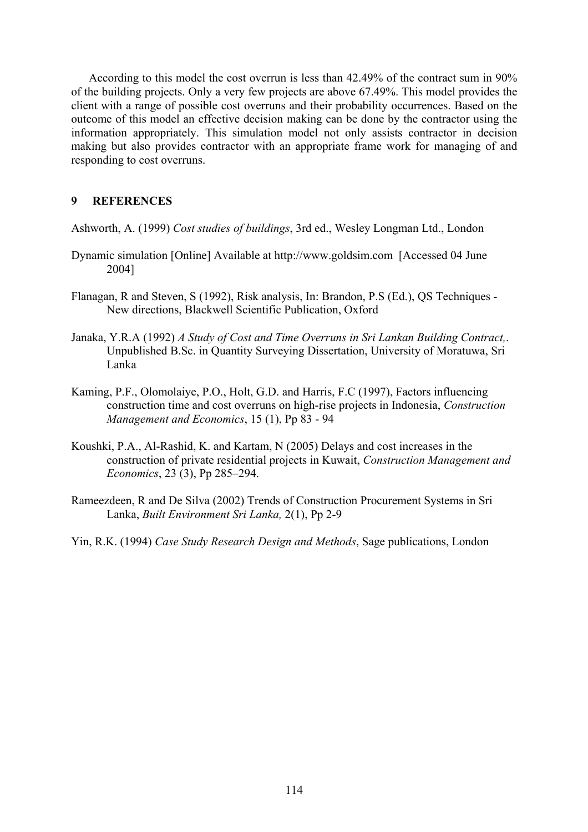According to this model the cost overrun is less than 42.49% of the contract sum in 90% of the building projects. Only a very few projects are above 67.49%. This model provides the client with a range of possible cost overruns and their probability occurrences. Based on the outcome of this model an effective decision making can be done by the contractor using the information appropriately. This simulation model not only assists contractor in decision making but also provides contractor with an appropriate frame work for managing of and responding to cost overruns.

#### **9 REFERENCES**

Ashworth, A. (1999) *Cost studies of buildings*, 3rd ed., Wesley Longman Ltd., London

- Dynamic simulation [Online] Available at http://www.goldsim.com [Accessed 04 June 2004]
- Flanagan, R and Steven, S (1992), Risk analysis, In: Brandon, P.S (Ed.), QS Techniques New directions, Blackwell Scientific Publication, Oxford
- Janaka, Y.R.A (1992) *A Study of Cost and Time Overruns in Sri Lankan Building Contract,*. Unpublished B.Sc. in Quantity Surveying Dissertation, University of Moratuwa, Sri Lanka
- Kaming, P.F., Olomolaiye, P.O., Holt, G.D. and Harris, F.C (1997), Factors influencing construction time and cost overruns on high-rise projects in Indonesia, *Construction Management and Economics*, 15 (1), Pp 83 - 94
- Koushki, P.A., Al-Rashid, K. and Kartam, N (2005) Delays and cost increases in the construction of private residential projects in Kuwait, *Construction Management and Economics*, 23 (3), Pp 285–294.
- Rameezdeen, R and De Silva (2002) Trends of Construction Procurement Systems in Sri Lanka, *Built Environment Sri Lanka,* 2(1), Pp 2-9

Yin, R.K. (1994) *Case Study Research Design and Methods*, Sage publications, London